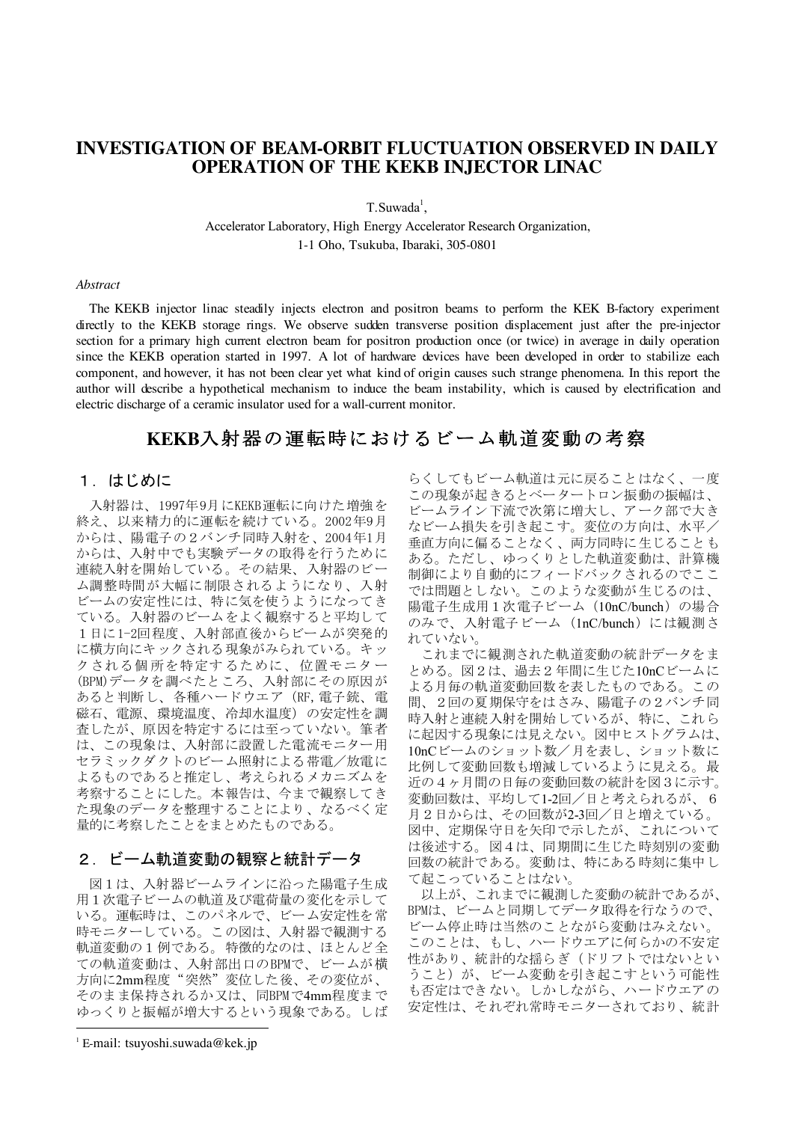## **INVESTIGATION OF BEAM-ORBIT FLUCTUATION OBSERVED IN DAILY OPERATION OF THE KEKB INJECTOR LINAC**

 $T.Suwada<sup>1</sup>$ ,

Accelerator Laboratory, High Energy Accelerator Research Organization, 1-1 Oho, Tsukuba, Ibaraki, 305-0801

#### Abstract

The KEKB injector linac steadily injects electron and positron beams to perform the KEK B-factory experiment directly to the KEKB storage rings. We observe sudden transverse position displacement just after the pre-injector section for a primary high current electron beam for positron production once (or twice) in average in daily operation since the KEKB operation started in 1997. A lot of hardware devices have been developed in order to stabilize each component, and however, it has not been clear yet what kind of origin causes such strange phenomena. In this report the author will describe a hypothetical mechanism to induce the beam instability, which is caused by electrification and electric discharge of a ceramic insulator used for a wall-current monitor.

# KEKB入射器の運転時におけるビーム軌道変動の考察

### 1. はじめに

入射器は、1997年9月にKEKB運転に向けた増強を 終え、以来精力的に運転を続けている。2002年9月 からは、陽電子の2バンチ同時入射を、2004年1月 からは、入射中でも実験データの取得を行うために 連続入射を開始している。その結果、入射器のビー ム調整時間が大幅に制限されるようになり、入射 ビームの安定性には、特に気を使うようになってき ている。入射器のビームをよく観察すると平均して 1日に1-2回程度、入射部直後からビームが突発的 に横方向にキックされる現象がみられている。キッ クされる個所を特定するために、位置モニター (BPM)データを調べたところ、入射部にその原因が あると判断し、各種ハードウエア (RF, 電子銃、電 磁石、電源、環境温度、冷却水温度)の安定性を調 査したが、原因を特定するには至っていない。筆者 は、この現象は、入射部に設置した電流モニター用 セラミックダクトのビーム照射による帯電/放電に よるものであると推定し、考えられるメカニズムを 考察することにした。本報告は、今まで観察してき た現象のデータを整理することにより、なるべく定 量的に考察したことをまとめたものである。

## 2. ビーム軌道変動の観察と統計データ

図1は、入射器ビームラインに沿った陽電子生成 用1次電子ビームの軌道及び電荷量の変化を示して いる。運転時は、このパネルで、ビーム安定性を常 時モニターしている。この図は、入射器で観測する 軌道変動の1例である。特徴的なのは、ほとんど全 ての軌道変動は、入射部出口のBPMで、ビームが横 方向に2mm程度"突然"変位した後、その変位が、 そのまま保持されるか又は、同BPMで4mm程度まで ゆっくりと振幅が増大するという現象である。しば

 $E$ -mail: tsuyoshi.suwada@kek.jp

らくしてもビーム軌道は元に戻ることはなく、一度 この現象が起きるとベータートロン振動の振幅は、 ビームライン下流で次第に増大し、アーク部で大き なビーム損失を引き起こす。変位の方向は、水平/ 垂直方向に偏ることなく、両方同時に生じることも ある。ただし、ゆっくりとした軌道変動は、計算機 制御により自動的にフィードバックされるのでここ では問題としない。このような変動が生じるのは、 陽電子生成用1次電子ビーム (10nC/bunch) の場合 のみで、入射電子ビーム (1nC/bunch) には観測さ れていない。

これまでに観測された軌道変動の統計データをま とめる。図2は、過去2年間に生じた10nCビームに よる月毎の軌道変動回数を表したものである。この 間、2回の夏期保守をはさみ、陽電子の2バンチ同 時入射と連続入射を開始しているが、特に、これら に起因する現象には見えない。図中ヒストグラムは、 10nCビームのショット数/月を表し、ショット数に 比例して変動回数も増減しているように見える。最 近の4ヶ月間の日毎の変動回数の統計を図3に示す。 変動回数は、平均して1-2回/日と考えられるが、6 月2日からは、その回数が2-3回/日と増えている。 図中、定期保守日を矢印で示したが、これについて は後述する。図4は、同期間に生じた時刻別の変動 回数の統計である。変動は、特にある時刻に集中し て起こっていることはない。

以上が、これまでに観測した変動の統計であるが、 BPMは、ビームと同期してデータ取得を行なうので、 ビーム停止時は当然のことながら変動はみえない。 このことは、もし、ハードウエアに何らかの不安定 性があり、統計的な揺らぎ(ドリフトではないとい うこと)が、ビーム変動を引き起こすという可能性 も否定はできない。しかしながら、ハードウエアの 安定性は、それぞれ常時モニターされており、統計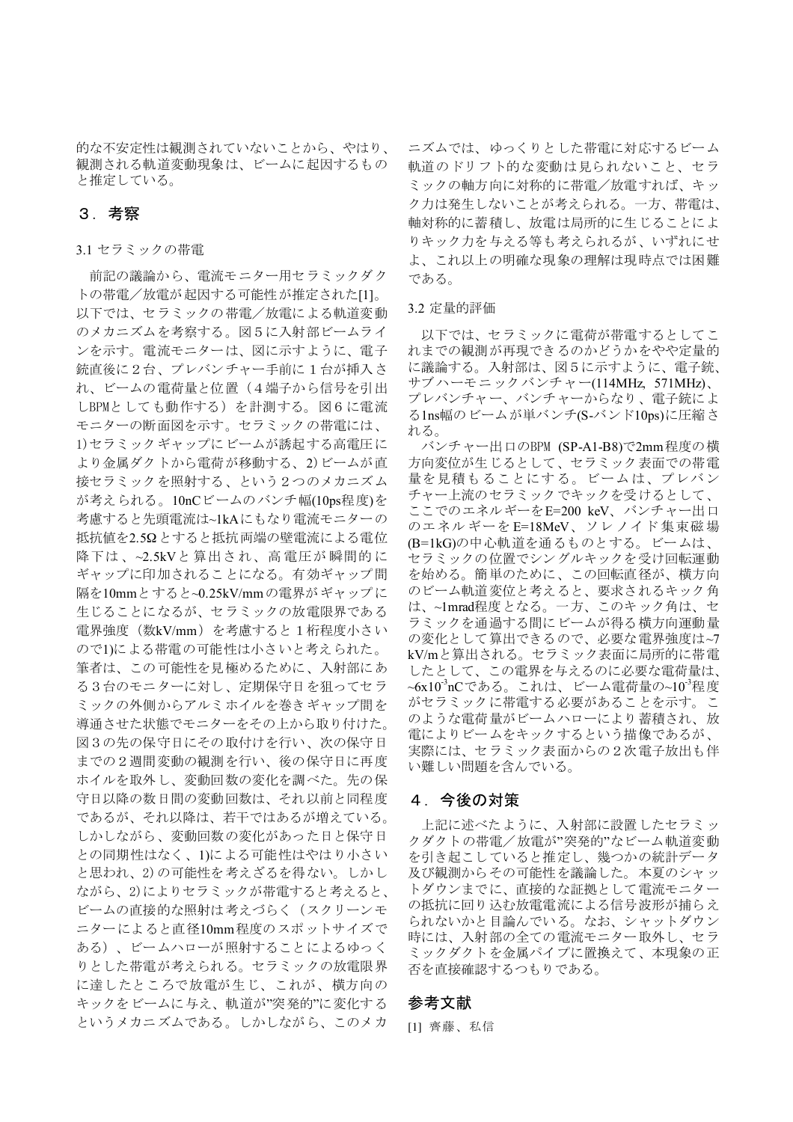的な不安定性は観測されていないことから、やはり、 観測される軌道変動現象は、ビームに起因するもの と推定している。

## 3. 考察

#### 3.1 セラミックの帯電

前記の議論から、電流モニター用セラミックダク トの帯電/放電が起因する可能性が推定された[1]。 以下では、セラミックの帯電/放電による軌道変動 のメカニズムを考察する。図5に入射部ビームライ ンを示す。電流モニターは、図に示すように、電子 銃直後に2台、プレバンチャー手前に1台が挿入さ れ、ビームの電荷量と位置(4端子から信号を引出 しBPMとしても動作する)を計測する。図6に電流 モニターの断面図を示す。セラミックの帯電には、 1) セラミックギャップにビームが誘起する高電圧に より金属ダクトから電荷が移動する、2)ビームが直 接セラミックを照射する、という2つのメカニズム が考えられる。10nCビームのバンチ幅(10ps程度)を 考慮すると先頭電流は~1kAにもなり電流モニターの 抵抗値を2.5Ωとすると抵抗両端の壁電流による電位 降下は、~2.5kVと算出され、高電圧が瞬間的に ギャップに印加されることになる。有効ギャップ間 隔を10mmとすると~0.25kV/mmの電界がギャップに 生じることになるが、セラミックの放電限界である 電界強度(数kV/mm)を考慮すると1桁程度小さい ので1)による帯電の可能性は小さいと考えられた。 筆者は、この可能性を見極めるために、入射部にあ る3台のモニターに対し、定期保守日を狙ってセラ ミックの外側からアルミホイルを巻きギャップ間を 導通させた状態でモニターをその上から取り付けた。 図3の先の保守日にその取付けを行い、次の保守日 までの2週間変動の観測を行い、後の保守日に再度 ホイルを取外し、変動回数の変化を調べた。先の保 守日以降の数日間の変動回数は、それ以前と同程度 であるが、それ以降は、若干ではあるが増えている。 しかしながら、変動回数の変化があった日と保守日 との同期性はなく、1)による可能性はやはり小さい と思われ、2)の可能性を考えざるを得ない。しかし ながら、2)によりセラミックが帯電すると考えると、 ビームの直接的な照射は考えづらく(スクリーンモ ニターによると直径10mm程度のスポットサイズで ある)、ビームハローが照射することによるゆっく りとした帯電が考えられる。セラミックの放電限界 に達したところで放電が生じ、これが、横方向の キックをビームに与え、軌道が"突発的"に変化する というメカニズムである。しかしながら、このメカ ニズムでは、ゆっくりとした帯電に対応するビーム 軌道のドリフト的な変動は見られないこと、セラ ミックの軸方向に対称的に帯電/放電すれば、キッ ク力は発生しないことが考えられる。一方、帯電は、 軸対称的に蓄積し、放電は局所的に生じることによ りキック力を与える等も考えられるが、いずれにせ よ、これ以上の明確な現象の理解は現時点では困難 である。

#### 3.2 定量的評価

以下では、セラミックに電荷が帯電するとしてこ れまでの観測が再現できるのかどうかをやや定量的 に議論する。入射部は、図5に示すように、電子銃、 サブハーモニックバンチャー(114MHz, 571MHz)、 プレバンチャー、バンチャーからなり、電子銃によ る1ns幅のビームが単バンチ(S-バンド10ps)に圧縮さ れる。

バンチャー出口のBPM (SP-A1-B8)で2mm程度の横 方向変位が生じるとして、セラミック表面での帯電 量を見積もることにする。ビームは、プレバン チャー上流のセラミックでキックを受けるとして、 ここでのエネルギーをE=200 keV、バンチャー出口 のエネルギーをE=18MeV、ソレノイド集束磁場 (B=1kG)の中心軌道を通るものとする。ビームは、 セラミックの位置でシングルキックを受け回転運動 を始める。簡単のために、この回転直径が、横方向 のビーム軌道変位と考えると、要求されるキック角 は、~1mrad程度となる。一方、このキック角は、セ ラミックを通過する間にビームが得る横方向運動量 の変化として算出できるので、必要な電界強度は~7 kV/mと算出される。セラミック表面に局所的に帯電 したとして、この電界を与えるのに必要な電荷量は、 ~6x10<sup>-3</sup>nCである。これは、ビーム電荷量の~10<sup>-3</sup>程度 がセラミックに帯電する必要があることを示す。こ のような電荷量がビームハローにより蓄積され、放 電によりビームをキックするという描像であるが、 実際には、セラミック表面からの2次電子放出も伴 い難しい問題を含んでいる。

### 4. 今後の対策

上記に述べたように、入射部に設置したセラミッ クダクトの帯電/放電が"突発的"なビーム軌道変動 を引き起こしていると推定し、幾つかの統計データ 及び観測からその可能性を議論した。本夏のシャッ トダウンまでに、直接的な証拠として電流モニター の抵抗に回り込む放電電流による信号波形が捕らえ られないかと目論んでいる。なお、シャットダウン 時には、入射部の全ての電流モニター取外し、セラ ミックダクトを金属パイプに置換えて、本現象の正 否を直接確認するつもりである。

### 参考文献

[1] 齊藤、私信